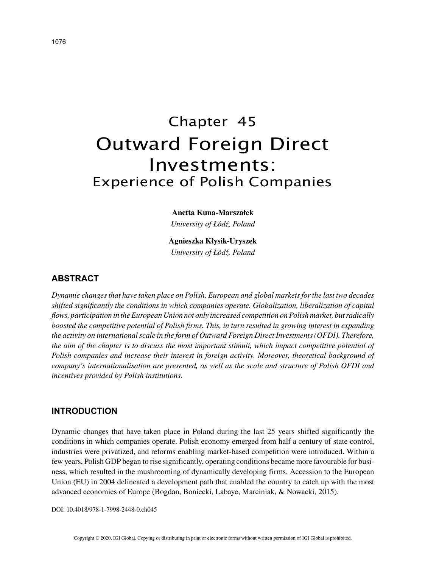# Chapter 45 Outward Foreign Direct Investments: Experience of Polish Companies

**Anetta Kuna-Marszałek**

*University of Łódź, Poland*

**Agnieszka Kłysik-Uryszek** *University of Łódź, Poland*

## **ABSTRACT**

*Dynamic changes that have taken place on Polish, European and global markets for the last two decades shifted significantly the conditions in which companies operate. Globalization, liberalization of capital flows, participation in the European Union not only increased competition on Polish market, but radically boosted the competitive potential of Polish firms. This, in turn resulted in growing interest in expanding the activity on international scale in the form of Outward Foreign Direct Investments (OFDI). Therefore, the aim of the chapter is to discuss the most important stimuli, which impact competitive potential of Polish companies and increase their interest in foreign activity. Moreover, theoretical background of company's internationalisation are presented, as well as the scale and structure of Polish OFDI and incentives provided by Polish institutions.*

#### **INTRODUCTION**

Dynamic changes that have taken place in Poland during the last 25 years shifted significantly the conditions in which companies operate. Polish economy emerged from half a century of state control, industries were privatized, and reforms enabling market-based competition were introduced. Within a few years, Polish GDP began to rise significantly, operating conditions became more favourable for business, which resulted in the mushrooming of dynamically developing firms. Accession to the European Union (EU) in 2004 delineated a development path that enabled the country to catch up with the most advanced economies of Europe (Bogdan, Boniecki, Labaye, Marciniak, & Nowacki, 2015).

DOI: 10.4018/978-1-7998-2448-0.ch045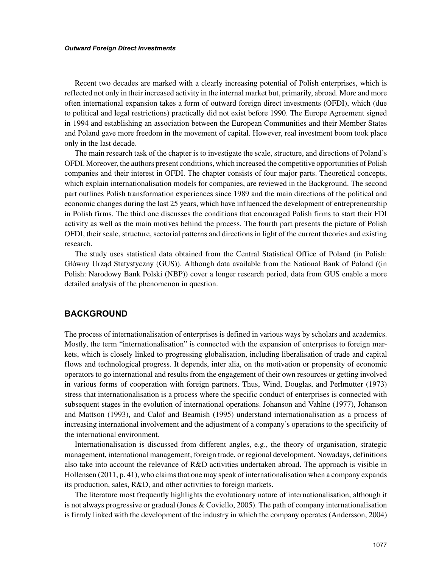#### *Outward Foreign Direct Investments*

Recent two decades are marked with a clearly increasing potential of Polish enterprises, which is reflected not only in their increased activity in the internal market but, primarily, abroad. More and more often international expansion takes a form of outward foreign direct investments (OFDI), which (due to political and legal restrictions) practically did not exist before 1990. The Europe Agreement signed in 1994 and establishing an association between the European Communities and their Member States and Poland gave more freedom in the movement of capital. However, real investment boom took place only in the last decade.

The main research task of the chapter is to investigate the scale, structure, and directions of Poland's OFDI. Moreover, the authors present conditions, which increased the competitive opportunities of Polish companies and their interest in OFDI. The chapter consists of four major parts. Theoretical concepts, which explain internationalisation models for companies, are reviewed in the Background. The second part outlines Polish transformation experiences since 1989 and the main directions of the political and economic changes during the last 25 years, which have influenced the development of entrepreneurship in Polish firms. The third one discusses the conditions that encouraged Polish firms to start their FDI activity as well as the main motives behind the process. The fourth part presents the picture of Polish OFDI, their scale, structure, sectorial patterns and directions in light of the current theories and existing research.

The study uses statistical data obtained from the Central Statistical Office of Poland (in Polish: Główny Urząd Statystyczny (GUS)). Although data available from the National Bank of Poland ((in Polish: Narodowy Bank Polski (NBP)) cover a longer research period, data from GUS enable a more detailed analysis of the phenomenon in question.

#### **BACKGROUND**

The process of internationalisation of enterprises is defined in various ways by scholars and academics. Mostly, the term "internationalisation" is connected with the expansion of enterprises to foreign markets, which is closely linked to progressing globalisation, including liberalisation of trade and capital flows and technological progress. It depends, inter alia, on the motivation or propensity of economic operators to go international and results from the engagement of their own resources or getting involved in various forms of cooperation with foreign partners. Thus, Wind, Douglas, and Perlmutter (1973) stress that internationalisation is a process where the specific conduct of enterprises is connected with subsequent stages in the evolution of international operations. Johanson and Vahlne (1977), Johanson and Mattson (1993), and Calof and Beamish (1995) understand internationalisation as a process of increasing international involvement and the adjustment of a company's operations to the specificity of the international environment.

Internationalisation is discussed from different angles, e.g., the theory of organisation, strategic management, international management, foreign trade, or regional development. Nowadays, definitions also take into account the relevance of R&D activities undertaken abroad. The approach is visible in Hollensen (2011, p. 41), who claims that one may speak of internationalisation when a company expands its production, sales, R&D, and other activities to foreign markets.

The literature most frequently highlights the evolutionary nature of internationalisation, although it is not always progressive or gradual (Jones  $& \text{Coviello}, 2005$ ). The path of company internationalisation is firmly linked with the development of the industry in which the company operates (Andersson, 2004)